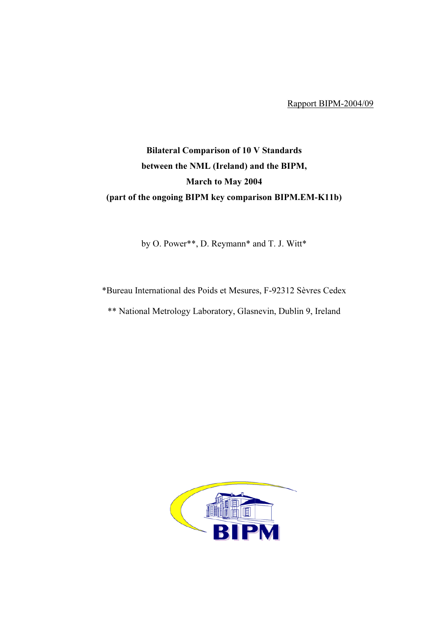Rapport BIPM-2004/09

## Bilateral Comparison of 10 V Standards between the NML (Ireland) and the BIPM, March to May 2004 (part of the ongoing BIPM key comparison BIPM.EM-K11b)

by O. Power\*\*, D. Reymann\* and T. J. Witt\*

\*Bureau International des Poids et Mesures, F-92312 Sèvres Cedex

\*\* National Metrology Laboratory, Glasnevin, Dublin 9, Ireland

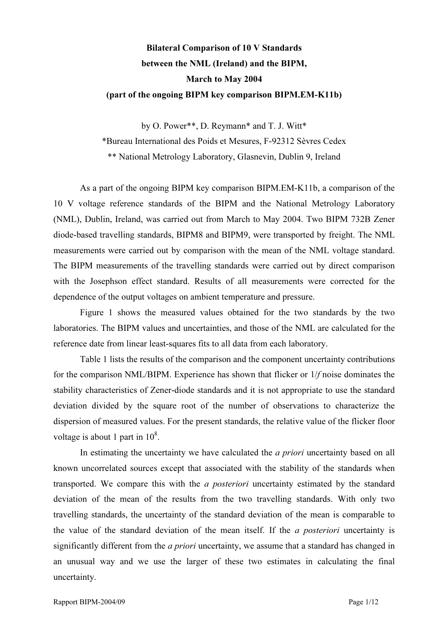## Bilateral Comparison of 10 V Standards between the NML (Ireland) and the BIPM, March to May 2004 (part of the ongoing BIPM key comparison BIPM.EM-K11b)

by O. Power\*\*, D. Reymann\* and T. J. Witt\*

\*Bureau International des Poids et Mesures, F-92312 Sèvres Cedex

\*\* National Metrology Laboratory, Glasnevin, Dublin 9, Ireland

As a part of the ongoing BIPM key comparison BIPM.EM-K11b, a comparison of the 10 V voltage reference standards of the BIPM and the National Metrology Laboratory (NML), Dublin, Ireland, was carried out from March to May 2004. Two BIPM 732B Zener diode-based travelling standards, BIPM8 and BIPM9, were transported by freight. The NML measurements were carried out by comparison with the mean of the NML voltage standard. The BIPM measurements of the travelling standards were carried out by direct comparison with the Josephson effect standard. Results of all measurements were corrected for the dependence of the output voltages on ambient temperature and pressure.

Figure 1 shows the measured values obtained for the two standards by the two laboratories. The BIPM values and uncertainties, and those of the NML are calculated for the reference date from linear least-squares fits to all data from each laboratory.

Table 1 lists the results of the comparison and the component uncertainty contributions for the comparison NML/BIPM. Experience has shown that flicker or 1/f noise dominates the stability characteristics of Zener-diode standards and it is not appropriate to use the standard deviation divided by the square root of the number of observations to characterize the dispersion of measured values. For the present standards, the relative value of the flicker floor voltage is about 1 part in  $10^8$ .

In estimating the uncertainty we have calculated the *a priori* uncertainty based on all known uncorrelated sources except that associated with the stability of the standards when transported. We compare this with the a posteriori uncertainty estimated by the standard deviation of the mean of the results from the two travelling standards. With only two travelling standards, the uncertainty of the standard deviation of the mean is comparable to the value of the standard deviation of the mean itself. If the a posteriori uncertainty is significantly different from the *a priori* uncertainty, we assume that a standard has changed in an unusual way and we use the larger of these two estimates in calculating the final uncertainty.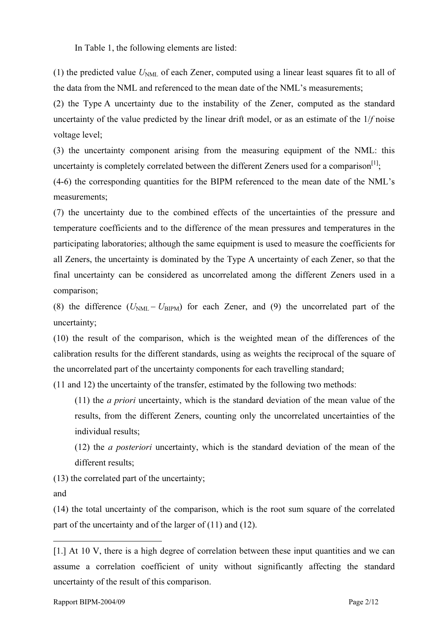In Table 1, the following elements are listed:

(1) the predicted value  $U_{NML}$  of each Zener, computed using a linear least squares fit to all of the data from the NML and referenced to the mean date of the NML's measurements;

(2) the Type A uncertainty due to the instability of the Zener, computed as the standard uncertainty of the value predicted by the linear drift model, or as an estimate of the 1/f noise voltage level;

(3) the uncertainty component arising from the measuring equipment of the NML: this uncertainty is completely correlated between the different Zeners used for a comparison  $\left[1\right]$ ;

(4-6) the corresponding quantities for the BIPM referenced to the mean date of the NML's measurements;

(7) the uncertainty due to the combined effects of the uncertainties of the pressure and temperature coefficients and to the difference of the mean pressures and temperatures in the participating laboratories; although the same equipment is used to measure the coefficients for all Zeners, the uncertainty is dominated by the Type A uncertainty of each Zener, so that the final uncertainty can be considered as uncorrelated among the different Zeners used in a comparison;

(8) the difference  $(U_{NML} - U_{BIPM})$  for each Zener, and (9) the uncorrelated part of the uncertainty;

(10) the result of the comparison, which is the weighted mean of the differences of the calibration results for the different standards, using as weights the reciprocal of the square of the uncorrelated part of the uncertainty components for each travelling standard;

(11 and 12) the uncertainty of the transfer, estimated by the following two methods:

(11) the a priori uncertainty, which is the standard deviation of the mean value of the results, from the different Zeners, counting only the uncorrelated uncertainties of the individual results;

(12) the a posteriori uncertainty, which is the standard deviation of the mean of the different results;

(13) the correlated part of the uncertainty;

and

 $\overline{a}$ 

(14) the total uncertainty of the comparison, which is the root sum square of the correlated part of the uncertainty and of the larger of (11) and (12).

<sup>[1.]</sup> At 10 V, there is a high degree of correlation between these input quantities and we can assume a correlation coefficient of unity without significantly affecting the standard uncertainty of the result of this comparison.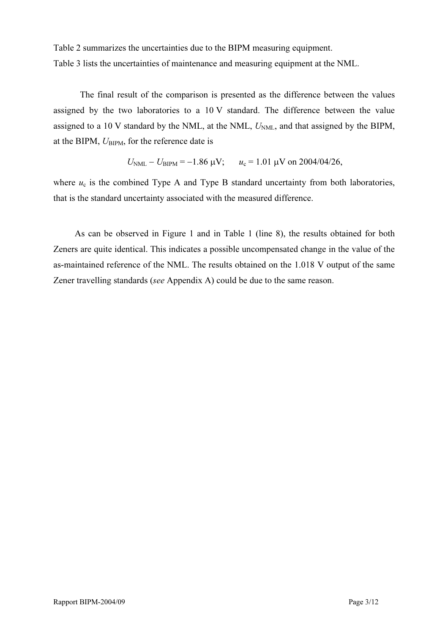Table 2 summarizes the uncertainties due to the BIPM measuring equipment. Table 3 lists the uncertainties of maintenance and measuring equipment at the NML.

The final result of the comparison is presented as the difference between the values assigned by the two laboratories to a 10 V standard. The difference between the value assigned to a 10 V standard by the NML, at the NML,  $U<sub>NML</sub>$ , and that assigned by the BIPM, at the BIPM,  $U_{\text{BIPM}}$ , for the reference date is

$$
U_{\text{NML}} - U_{\text{BIPM}} = -1.86 \text{ }\mu\text{V};
$$
  $u_c = 1.01 \text{ }\mu\text{V on } 2004/04/26,$ 

where  $u_c$  is the combined Type A and Type B standard uncertainty from both laboratories, that is the standard uncertainty associated with the measured difference.

As can be observed in Figure 1 and in Table 1 (line 8), the results obtained for both Zeners are quite identical. This indicates a possible uncompensated change in the value of the as-maintained reference of the NML. The results obtained on the 1.018 V output of the same Zener travelling standards (see Appendix A) could be due to the same reason.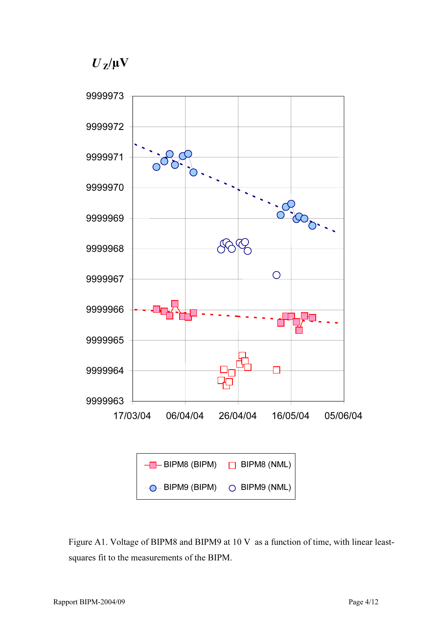*U <sup>Z</sup>*/µV



Figure A1. Voltage of BIPM8 and BIPM9 at 10 V as a function of time, with linear leastsquares fit to the measurements of the BIPM.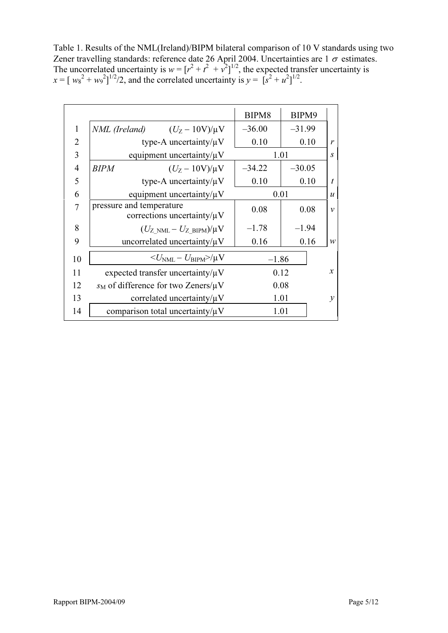Table 1. Results of the NML(Ireland)/BIPM bilateral comparison of 10 V standards using two Zener travelling standards: reference date 26 April 2004. Uncertainties are 1  $\sigma$  estimates. The uncorrelated uncertainty is  $w = [r^2 + t^2 + v^2]^{1/2}$ , the expected transfer uncertainty is  $x = [w_8^2 + w_9^2]^{1/2}/2$ , and the correlated uncertainty is  $y = [s^2 + u^2]^{1/2}$ .

|                |                                                              | BIPM8    | BIPM9    |                  |
|----------------|--------------------------------------------------------------|----------|----------|------------------|
| 1              | <i>NML</i> (Ireland) $(U_Z - 10V)/\mu V$                     | $-36.00$ | $-31.99$ |                  |
| $\overline{2}$ | type-A uncertainty/ $\mu$ V                                  | 0.10     | 0.10     | r                |
| 3              | equipment uncertainty/ $\mu$ V                               |          | 1.01     | $\boldsymbol{S}$ |
| $\overline{4}$ | <b>BIPM</b><br>$(U_{Z} - 10V)/\mu V$                         | $-34.22$ | $-30.05$ |                  |
| 5              | type-A uncertainty/ $\mu$ V                                  | 0.10     | 0.10     | $\boldsymbol{t}$ |
| 6              | equipment uncertainty/ $\mu$ V                               | 0.01     |          | $\boldsymbol{u}$ |
| 7              | pressure and temperature<br>corrections uncertainty/ $\mu$ V | 0.08     | 0.08     | $\mathcal{V}$    |
| 8              | $(U_{Z>NML}-U_{Z-BIPM})/\mu V$                               | $-1.78$  | $-1.94$  |                  |
| 9              | uncorrelated uncertainty/ $\mu$ V                            | 0.16     | 0.16     | W                |
| 10             | $\langle U_{\rm NML} - U_{\rm BIPM} \rangle / \mu V$         | $-1.86$  |          |                  |
| 11             | expected transfer uncertainty/ $\mu$ V                       |          | 0.12     | $\mathfrak{X}$   |
| 12             | $s_M$ of difference for two Zeners/ $\mu$ V                  |          | 0.08     |                  |
| 13             | correlated uncertainty/ $\mu$ V                              |          | 1.01     | $\mathcal{V}$    |
| 14             | comparison total uncertainty/ $\mu$ V                        |          | 1.01     |                  |
|                |                                                              |          |          |                  |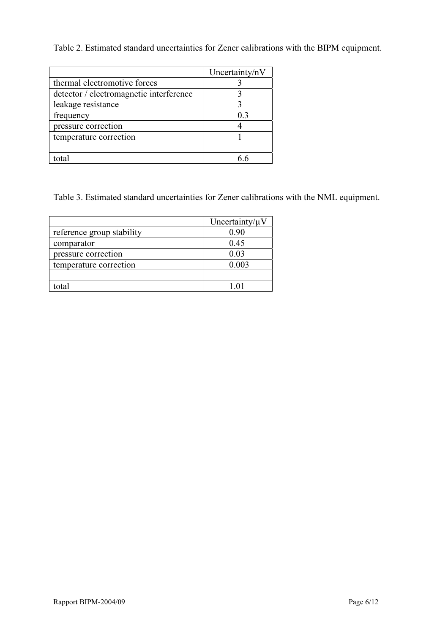Table 2. Estimated standard uncertainties for Zener calibrations with the BIPM equipment.

|                                         | Uncertainty/nV |
|-----------------------------------------|----------------|
| thermal electromotive forces            |                |
| detector / electromagnetic interference |                |
| leakage resistance                      |                |
| frequency                               | 0.3            |
| pressure correction                     |                |
| temperature correction                  |                |
|                                         |                |
| total                                   |                |

Table 3. Estimated standard uncertainties for Zener calibrations with the NML equipment.

|                           | Uncertainty/ $\mu$ V |
|---------------------------|----------------------|
| reference group stability | 0.90                 |
| comparator                | 0.45                 |
| pressure correction       | 0.03                 |
| temperature correction    | 0.003                |
|                           |                      |
| total                     | 1.01                 |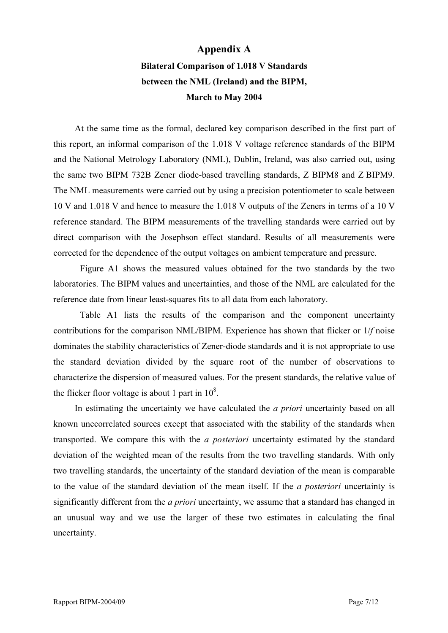## Appendix A

## Bilateral Comparison of 1.018 V Standards between the NML (Ireland) and the BIPM, March to May 2004

At the same time as the formal, declared key comparison described in the first part of this report, an informal comparison of the 1.018 V voltage reference standards of the BIPM and the National Metrology Laboratory (NML), Dublin, Ireland, was also carried out, using the same two BIPM 732B Zener diode-based travelling standards, Z BIPM8 and Z BIPM9. The NML measurements were carried out by using a precision potentiometer to scale between 10 V and 1.018 V and hence to measure the 1.018 V outputs of the Zeners in terms of a 10 V reference standard. The BIPM measurements of the travelling standards were carried out by direct comparison with the Josephson effect standard. Results of all measurements were corrected for the dependence of the output voltages on ambient temperature and pressure.

Figure A1 shows the measured values obtained for the two standards by the two laboratories. The BIPM values and uncertainties, and those of the NML are calculated for the reference date from linear least-squares fits to all data from each laboratory.

Table A1 lists the results of the comparison and the component uncertainty contributions for the comparison NML/BIPM. Experience has shown that flicker or 1/f noise dominates the stability characteristics of Zener-diode standards and it is not appropriate to use the standard deviation divided by the square root of the number of observations to characterize the dispersion of measured values. For the present standards, the relative value of the flicker floor voltage is about 1 part in  $10^8$ .

In estimating the uncertainty we have calculated the *a priori* uncertainty based on all known unccorrelated sources except that associated with the stability of the standards when transported. We compare this with the a posteriori uncertainty estimated by the standard deviation of the weighted mean of the results from the two travelling standards. With only two travelling standards, the uncertainty of the standard deviation of the mean is comparable to the value of the standard deviation of the mean itself. If the a posteriori uncertainty is significantly different from the *a priori* uncertainty, we assume that a standard has changed in an unusual way and we use the larger of these two estimates in calculating the final uncertainty.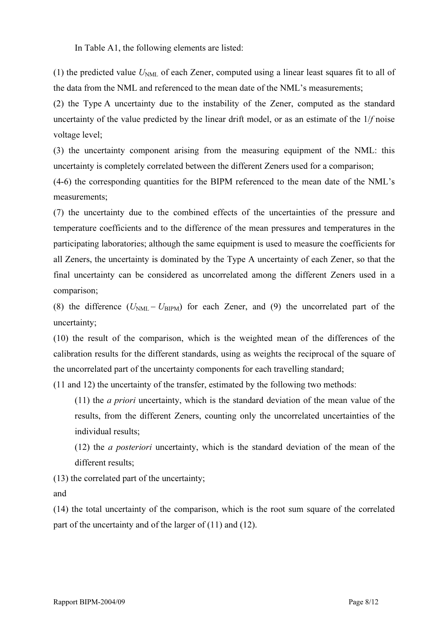In Table A1, the following elements are listed:

(1) the predicted value  $U_{NML}$  of each Zener, computed using a linear least squares fit to all of the data from the NML and referenced to the mean date of the NML's measurements;

(2) the Type A uncertainty due to the instability of the Zener, computed as the standard uncertainty of the value predicted by the linear drift model, or as an estimate of the 1/f noise voltage level;

(3) the uncertainty component arising from the measuring equipment of the NML: this uncertainty is completely correlated between the different Zeners used for a comparison;

(4-6) the corresponding quantities for the BIPM referenced to the mean date of the NML's measurements;

(7) the uncertainty due to the combined effects of the uncertainties of the pressure and temperature coefficients and to the difference of the mean pressures and temperatures in the participating laboratories; although the same equipment is used to measure the coefficients for all Zeners, the uncertainty is dominated by the Type A uncertainty of each Zener, so that the final uncertainty can be considered as uncorrelated among the different Zeners used in a comparison;

(8) the difference  $(U_{NML} - U_{BIPM})$  for each Zener, and (9) the uncorrelated part of the uncertainty;

(10) the result of the comparison, which is the weighted mean of the differences of the calibration results for the different standards, using as weights the reciprocal of the square of the uncorrelated part of the uncertainty components for each travelling standard;

(11 and 12) the uncertainty of the transfer, estimated by the following two methods:

(11) the a priori uncertainty, which is the standard deviation of the mean value of the results, from the different Zeners, counting only the uncorrelated uncertainties of the individual results;

(12) the a posteriori uncertainty, which is the standard deviation of the mean of the different results;

(13) the correlated part of the uncertainty;

and

(14) the total uncertainty of the comparison, which is the root sum square of the correlated part of the uncertainty and of the larger of (11) and (12).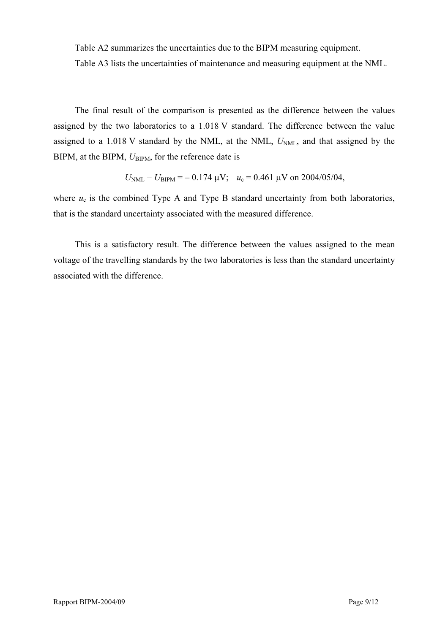Table A2 summarizes the uncertainties due to the BIPM measuring equipment.

Table A3 lists the uncertainties of maintenance and measuring equipment at the NML.

The final result of the comparison is presented as the difference between the values assigned by the two laboratories to a 1.018 V standard. The difference between the value assigned to a 1.018 V standard by the NML, at the NML,  $U<sub>NML</sub>$ , and that assigned by the BIPM, at the BIPM,  $U_{\text{BIPM}}$ , for the reference date is

$$
U_{\text{NML}} - U_{\text{BIPM}} = -0.174 \,\mu\text{V}; \quad u_c = 0.461 \,\mu\text{V}
$$
 on 2004/05/04,

where  $u_c$  is the combined Type A and Type B standard uncertainty from both laboratories, that is the standard uncertainty associated with the measured difference.

This is a satisfactory result. The difference between the values assigned to the mean voltage of the travelling standards by the two laboratories is less than the standard uncertainty associated with the difference.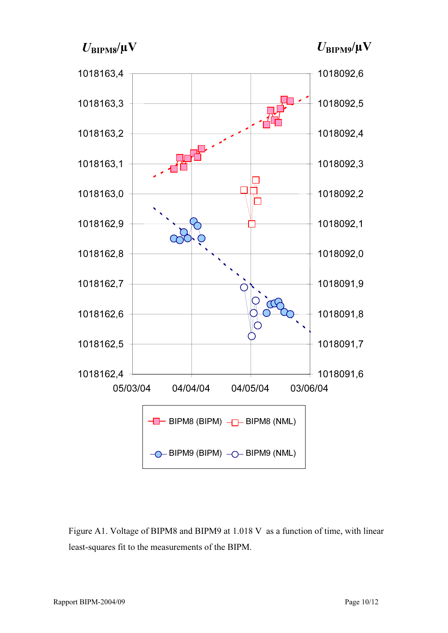$U_{\text{BIPMS}}/\mu\text{V}$ 

 $U_{\text{BIPM9}}/\mu\text{V}$ 



Figure A1. Voltage of BIPM8 and BIPM9 at 1.018 V as a function of time, with linear least-squares fit to the measurements of the BIPM.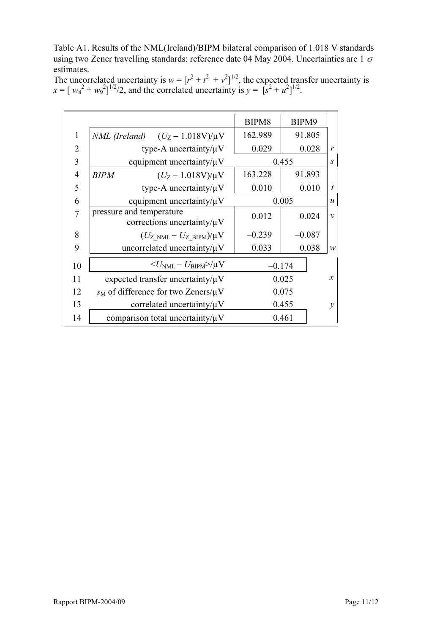Table A1. Results of the NML(Ireland)/BIPM bilateral comparison of 1.018 V standards using two Zener travelling standards: reference date 04 May 2004. Uncertainties are 1  $\sigma$ estimates.

The uncorrelated uncertainty is  $w = [r^2 + t^2 + v^2]^{1/2}$ , the expected transfer uncertainty is  $x = [w_8^2 + w_9^2]^{1/2} / 2$ , and the correlated uncertainty is  $y = [s^2 + u^2]^{1/2}$ .

|                |                                                              | BIPM8    | BIPM9    |                  |
|----------------|--------------------------------------------------------------|----------|----------|------------------|
| $\mathbf{1}$   | <i>NML</i> (Ireland) $(U_Z - 1.018V)/\mu V$                  | 162.989  | 91.805   |                  |
| $\overline{2}$ | type-A uncertainty/ $\mu$ V                                  | 0.029    | 0.028    | $\mathcal{V}$    |
| 3              | equipment uncertainty/ $\mu$ V                               |          | 0.455    | $\mathcal{S}$    |
| $\overline{4}$ | $(U_Z - 1.018V)/\mu V$<br><b>BIPM</b>                        | 163.228  | 91.893   |                  |
| 5              | type-A uncertainty/ $\mu$ V                                  | 0.010    | 0.010    | $\boldsymbol{t}$ |
| 6              | equipment uncertainty/ $\mu$ V                               |          | 0.005    | $\boldsymbol{u}$ |
| 7              | pressure and temperature<br>corrections uncertainty/ $\mu$ V | 0.012    | 0.024    | $\mathcal{V}$    |
| 8              | $(U_{Z>NML}-U_{Z-BIPM})/\mu V$                               | $-0.239$ | $-0.087$ |                  |
| 9              | uncorrelated uncertainty/ $\mu$ V                            | 0.033    | 0.038    | W                |
| 10             | $\langle U_{\rm NML} - U_{\rm BIPM} \rangle / \mu V$         |          | $-0.174$ |                  |
| 11             | expected transfer uncertainty/ $\mu$ V                       |          | 0.025    | $\boldsymbol{x}$ |
| 12             | $s_M$ of difference for two Zeners/ $\mu$ V                  |          | 0.075    |                  |
| 13             | correlated uncertainty/ $\mu$ V                              |          | 0.455    | $\mathcal{Y}$    |
| 14             | comparison total uncertainty/ $\mu$ V                        |          | 0.461    |                  |
|                |                                                              |          |          |                  |